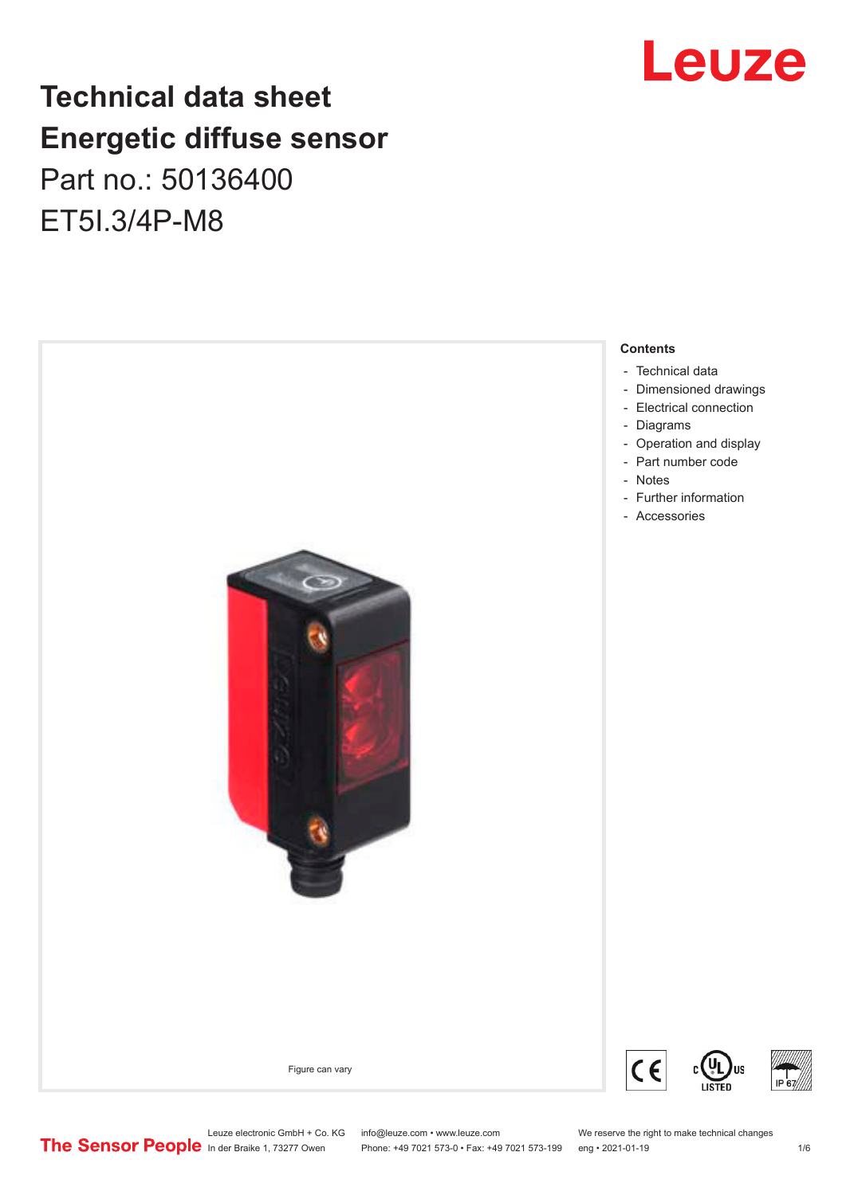# **Technical data sheet Energetic diffuse sensor** Part no.: 50136400 ET5I.3/4P-M8

**Contents** - [Technical data](#page-1-0) - [Dimensioned drawings](#page-2-0) - [Electrical connection](#page-2-0) - [Diagrams](#page-3-0) - [Operation and display](#page-3-0) - [Part number code](#page-3-0) [Notes](#page-4-0) - - [Further information](#page-4-0) - [Accessories](#page-4-0)  $\overline{c}$ **US** Figure can varyC



- 
- 
- 

Phone: +49 7021 573-0 • Fax: +49 7021 573-199 eng • 2021-01-19

Leuze electronic GmbH + Co. KG info@leuze.com • www.leuze.com We reserve the right to make technical changes<br>
The Sensor People in der Braike 1, 73277 Owen Phone: +49 7021 573-0 • Fax: +49 7021 573-199 eng • 2021-01-19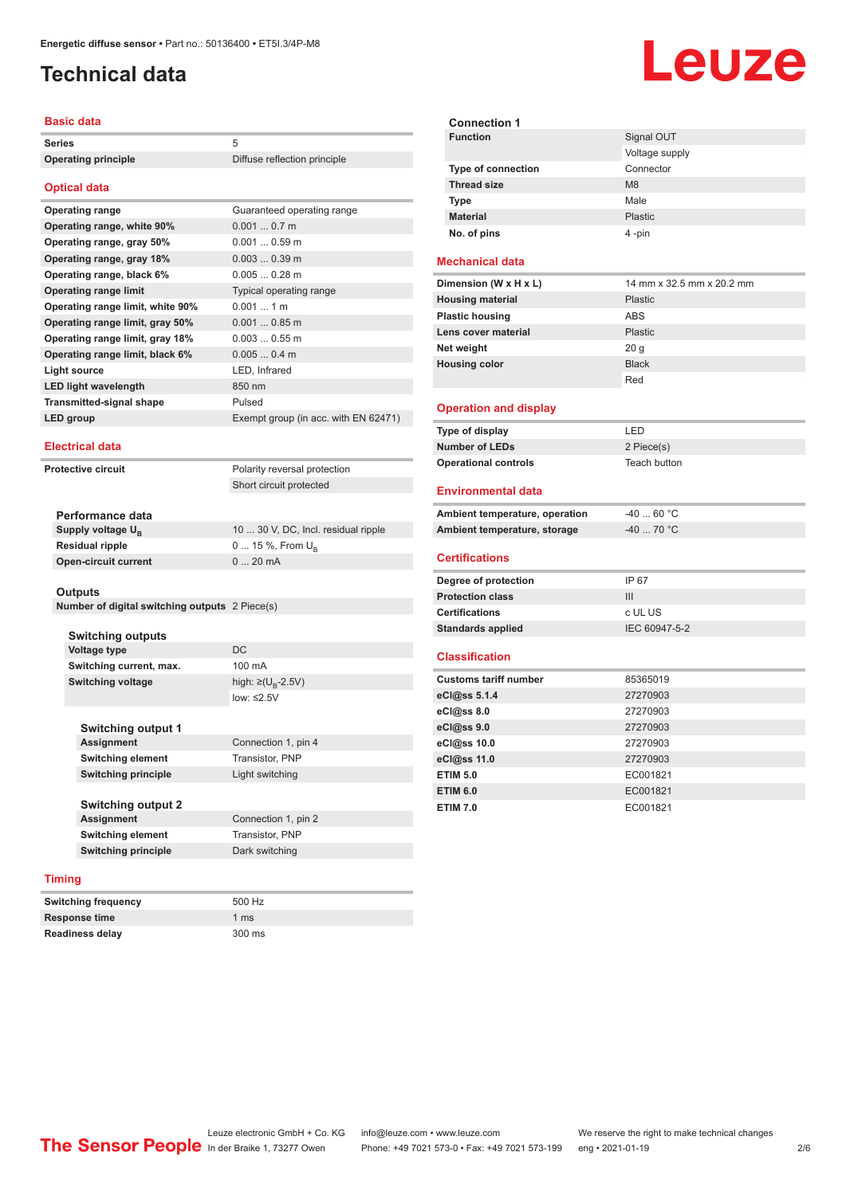# <span id="page-1-0"></span>**Technical data**

### **Basic data**

| <b>Series</b>                    | 5                                    |
|----------------------------------|--------------------------------------|
| <b>Operating principle</b>       | Diffuse reflection principle         |
|                                  |                                      |
| <b>Optical data</b>              |                                      |
| <b>Operating range</b>           | Guaranteed operating range           |
| Operating range, white 90%       | $0.0010.7$ m                         |
| Operating range, gray 50%        | $0.0010.59$ m                        |
| Operating range, gray 18%        | $0.0030.39$ m                        |
| Operating range, black 6%        | $0.0050.28$ m                        |
| <b>Operating range limit</b>     | Typical operating range              |
| Operating range limit, white 90% | $0.001$ 1 m                          |
| Operating range limit, gray 50%  | $0.0010.85$ m                        |
| Operating range limit, gray 18%  | $0.0030.55$ m                        |
| Operating range limit, black 6%  | 0.0050.4 m                           |
| <b>Light source</b>              | LED, Infrared                        |
| <b>LED light wavelength</b>      | 850 nm                               |
| <b>Transmitted-signal shape</b>  | Pulsed                               |
| <b>LED</b> group                 | Exempt group (in acc. with EN 62471) |
| <b>Electrical data</b>           |                                      |
| <b>Protective circuit</b>        | Polarity reversal protection         |

Short circuit protected

| Performance data              |                                     |
|-------------------------------|-------------------------------------|
| Supply voltage U <sub>P</sub> | 10  30 V, DC, Incl. residual ripple |
| Residual ripple               | $0 15 \%$ , From $U_{p}$            |
| Open-circuit current          | $020$ mA                            |
|                               |                                     |

#### **Outputs**

| Number of digital switching outputs 2 Piece(s) |  |  |  |
|------------------------------------------------|--|--|--|
|------------------------------------------------|--|--|--|

**Switching outputs Voltage type** DC **Switching current, max.** 100 mA **Switching voltage** 

**Switching output 1**

high:  $\geq (U_p - 2.5V)$ low: ≤2.5V

Connection 1, pin 4 **Switching element** Transistor, PNP **Switching principle** Light switching

**Switching output 2 Assignment** Connection 1, pin 2 **Switching element** Transistor, PNP **Switching principle** Dark switching

### **Timing**

| <b>Switching frequency</b> | 500 Hz |
|----------------------------|--------|
| <b>Response time</b>       | 1 ms   |
| <b>Readiness delay</b>     | 300 ms |

**Connection 1 Signal OUT** Voltage supply **Type of connection** Connector **Thread size** M8 **Type Male Material** Plastic **No. of pins** 4 -pin

### **Mechanical data**

| Dimension (W x H x L)   | 14 mm x 32.5 mm x 20.2 mm |
|-------------------------|---------------------------|
| <b>Housing material</b> | <b>Plastic</b>            |
| <b>Plastic housing</b>  | <b>ABS</b>                |
| Lens cover material     | <b>Plastic</b>            |
| Net weight              | 20 <sub>g</sub>           |
| <b>Housing color</b>    | <b>Black</b>              |
|                         | Red                       |

### **Operation and display**

| Type of display             | I FD.        |
|-----------------------------|--------------|
| <b>Number of LEDs</b>       | 2 Piece(s)   |
| <b>Operational controls</b> | Teach button |

### **Environmental data**

| Ambient temperature, operation | -40  60 °C |
|--------------------------------|------------|
| Ambient temperature, storage   | -40  70 °C |
|                                |            |

### **Certifications**

| Degree of protection     | IP 67         |
|--------------------------|---------------|
| <b>Protection class</b>  | Ш             |
| <b>Certifications</b>    | c UL US       |
| <b>Standards applied</b> | IEC 60947-5-2 |

#### **Classification**

| <b>Customs tariff number</b> | 85365019 |
|------------------------------|----------|
| eCl@ss 5.1.4                 | 27270903 |
| eCl@ss 8.0                   | 27270903 |
| eCl@ss 9.0                   | 27270903 |
| eCl@ss 10.0                  | 27270903 |
| eCl@ss 11.0                  | 27270903 |
| <b>ETIM 5.0</b>              | EC001821 |
| <b>ETIM 6.0</b>              | EC001821 |
| <b>ETIM 7.0</b>              | EC001821 |



Leuze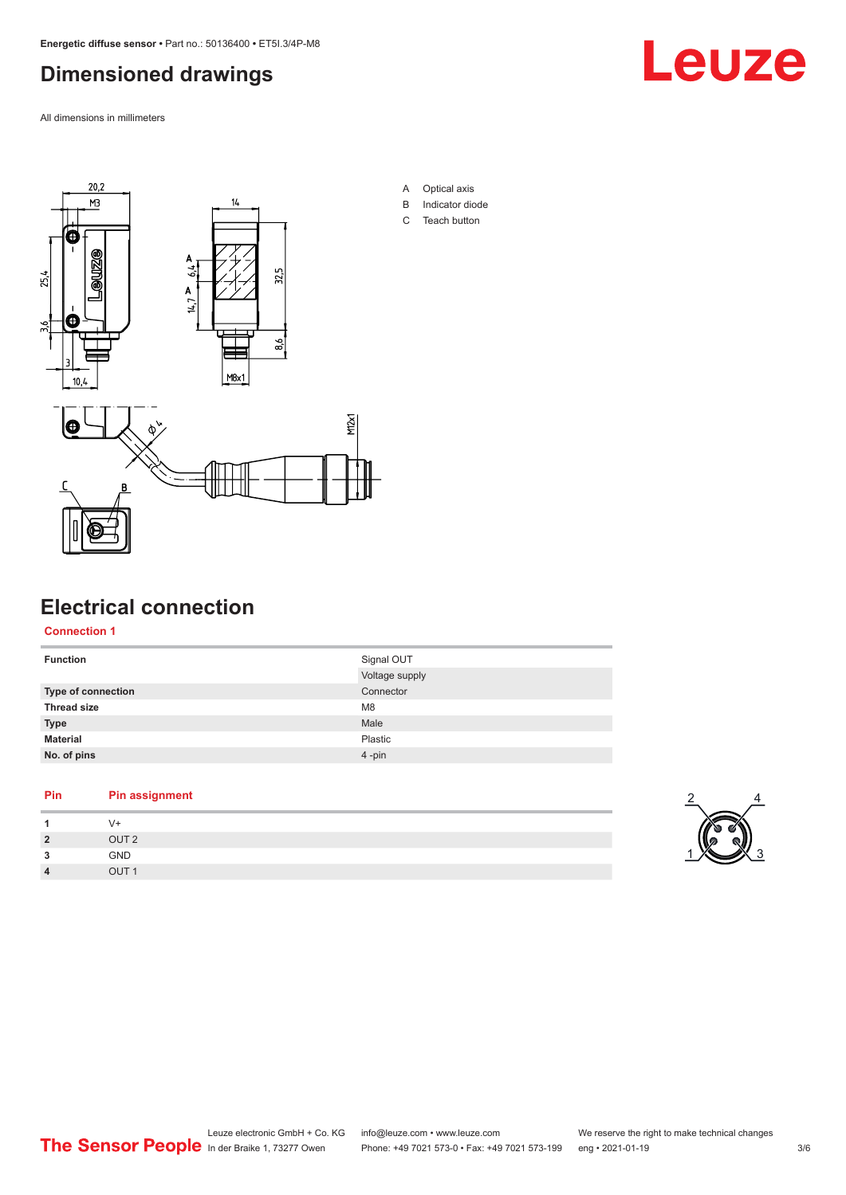# <span id="page-2-0"></span>**Dimensioned drawings**

All dimensions in millimeters





- A Optical axis
- B Indicator diode
- C Teach button



# **Electrical connection**

**Connection 1**

| <b>Function</b>           | Signal OUT     |
|---------------------------|----------------|
|                           | Voltage supply |
| <b>Type of connection</b> | Connector      |
| <b>Thread size</b>        | M <sub>8</sub> |
| <b>Type</b>               | Male           |
| <b>Material</b>           | Plastic        |
| No. of pins               | $4 - pin$      |
|                           |                |

### **Pin Pin assignment**

|                | V+               |
|----------------|------------------|
| $\overline{2}$ | OUT <sub>2</sub> |
| 3              | GND              |
| $\overline{4}$ | OUT <sub>1</sub> |

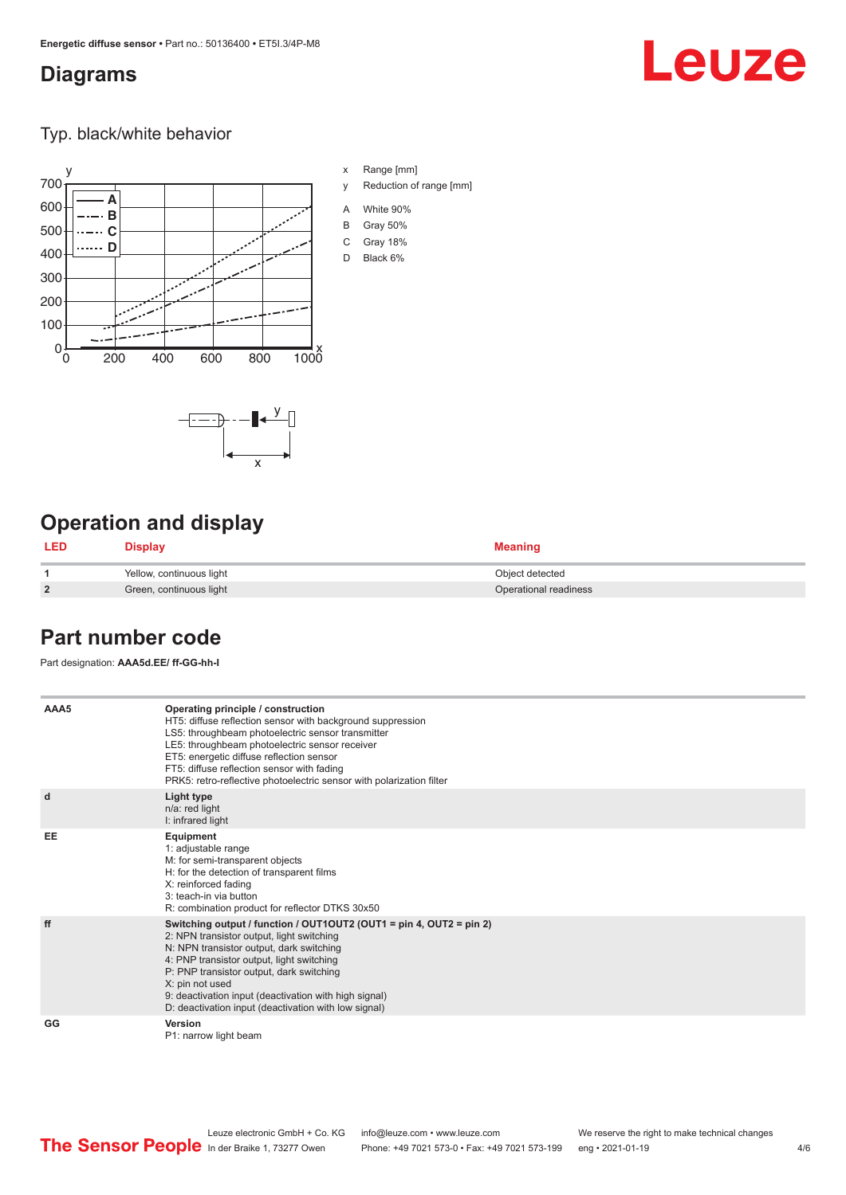### <span id="page-3-0"></span>**Diagrams**

# Leuze

Typ. black/white behavior



x

 $-\overline{...}$   $-\overline{...}$   $-\overline{...}$ 

x Range [mm]

- y Reduction of range [mm]
- A White 90%
- B Gray 50%
- C Gray 18%
- D Black 6%

# **Operation and display**

| <b>LED</b>     | <b>Display</b>           | <b>Meaning</b>        |
|----------------|--------------------------|-----------------------|
|                | Yellow, continuous light | Object detected       |
| $\overline{2}$ | Green, continuous light  | Operational readiness |

# **Part number code**

Part designation: **AAA5d.EE/ ff-GG-hh-I**

| AAA5      | Operating principle / construction<br>HT5: diffuse reflection sensor with background suppression<br>LS5: throughbeam photoelectric sensor transmitter<br>LE5: throughbeam photoelectric sensor receiver<br>ET5: energetic diffuse reflection sensor<br>FT5: diffuse reflection sensor with fading<br>PRK5: retro-reflective photoelectric sensor with polarization filter                 |
|-----------|-------------------------------------------------------------------------------------------------------------------------------------------------------------------------------------------------------------------------------------------------------------------------------------------------------------------------------------------------------------------------------------------|
| d         | Light type<br>n/a: red light<br>I: infrared light                                                                                                                                                                                                                                                                                                                                         |
| <b>EE</b> | Equipment<br>1: adjustable range<br>M: for semi-transparent objects<br>H: for the detection of transparent films<br>X: reinforced fading<br>3: teach-in via button<br>R: combination product for reflector DTKS 30x50                                                                                                                                                                     |
| ff        | Switching output / function / OUT1OUT2 (OUT1 = pin 4, OUT2 = pin 2)<br>2: NPN transistor output, light switching<br>N: NPN transistor output, dark switching<br>4: PNP transistor output, light switching<br>P: PNP transistor output, dark switching<br>X: pin not used<br>9: deactivation input (deactivation with high signal)<br>D: deactivation input (deactivation with low signal) |
| GG        | Version<br>P1: narrow light beam                                                                                                                                                                                                                                                                                                                                                          |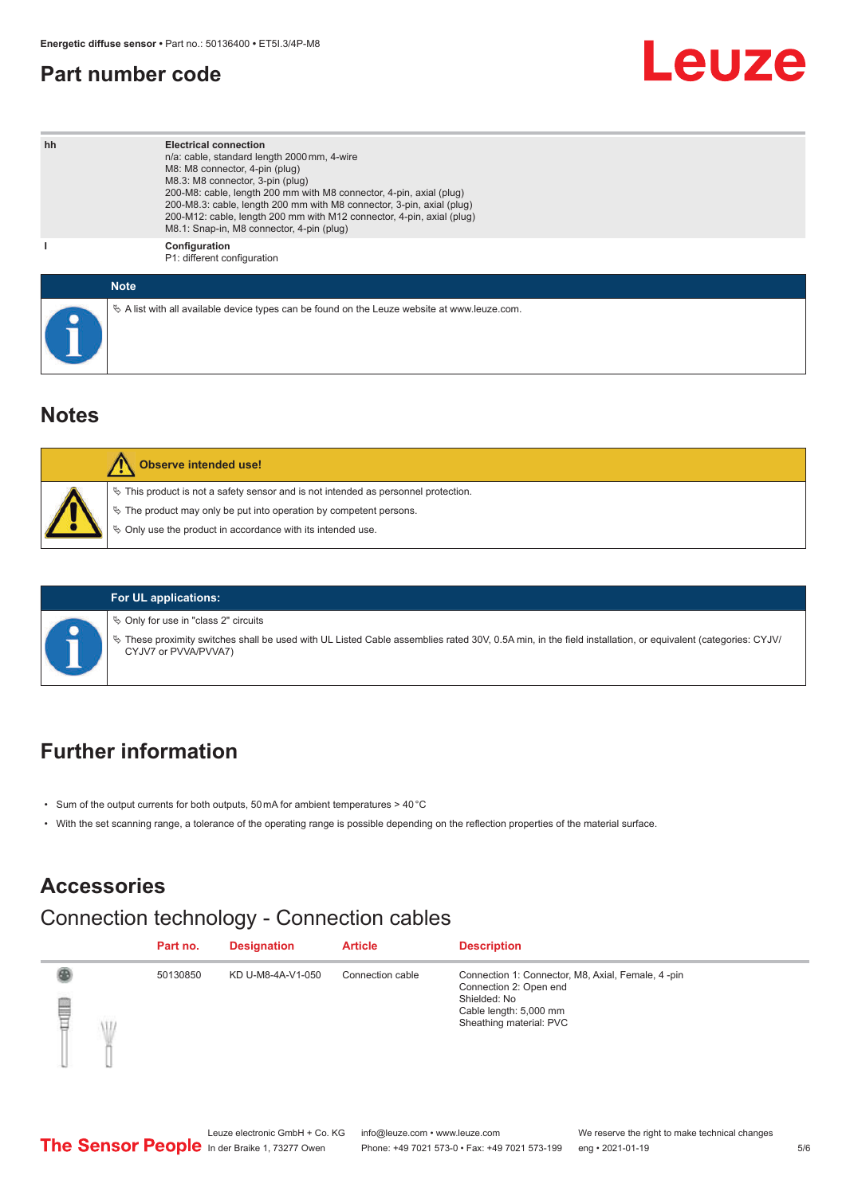# <span id="page-4-0"></span>**Part number code**

# Leuze

| hh | <b>Electrical connection</b><br>n/a: cable, standard length 2000 mm, 4-wire<br>M8: M8 connector, 4-pin (plug)<br>M8.3: M8 connector, 3-pin (plug)<br>200-M8: cable, length 200 mm with M8 connector, 4-pin, axial (plug)<br>200-M8.3: cable, length 200 mm with M8 connector, 3-pin, axial (plug)<br>200-M12: cable, length 200 mm with M12 connector, 4-pin, axial (plug)<br>M8.1: Snap-in, M8 connector, 4-pin (plug) |
|----|-------------------------------------------------------------------------------------------------------------------------------------------------------------------------------------------------------------------------------------------------------------------------------------------------------------------------------------------------------------------------------------------------------------------------|
|    | Configuration<br>P1: different configuration                                                                                                                                                                                                                                                                                                                                                                            |
|    | <b>Note</b>                                                                                                                                                                                                                                                                                                                                                                                                             |
|    | $\&$ A list with all available device types can be found on the Leuze website at www.leuze.com.                                                                                                                                                                                                                                                                                                                         |

### **Notes**

| <b>Observe intended use!</b>                                                                                                                                                                                                     |
|----------------------------------------------------------------------------------------------------------------------------------------------------------------------------------------------------------------------------------|
| $\%$ This product is not a safety sensor and is not intended as personnel protection.<br>$\%$ The product may only be put into operation by competent persons.<br>$\%$ Only use the product in accordance with its intended use. |

### **For UL applications:**

 $\%$  Only for use in "class 2" circuits

ª These proximity switches shall be used with UL Listed Cable assemblies rated 30V, 0.5A min, in the field installation, or equivalent (categories: CYJV/ CYJV7 or PVVA/PVVA7)

# **Further information**

- Sum of the output currents for both outputs, 50 mA for ambient temperatures > 40 °C
- With the set scanning range, a tolerance of the operating range is possible depending on the reflection properties of the material surface.

# **Accessories**

# Connection technology - Connection cables

|   |   | Part no. | <b>Designation</b> | <b>Article</b>   | <b>Description</b>                                                                                                                                |
|---|---|----------|--------------------|------------------|---------------------------------------------------------------------------------------------------------------------------------------------------|
| ₿ | Ŵ | 50130850 | KD U-M8-4A-V1-050  | Connection cable | Connection 1: Connector, M8, Axial, Female, 4 -pin<br>Connection 2: Open end<br>Shielded: No<br>Cable length: 5,000 mm<br>Sheathing material: PVC |